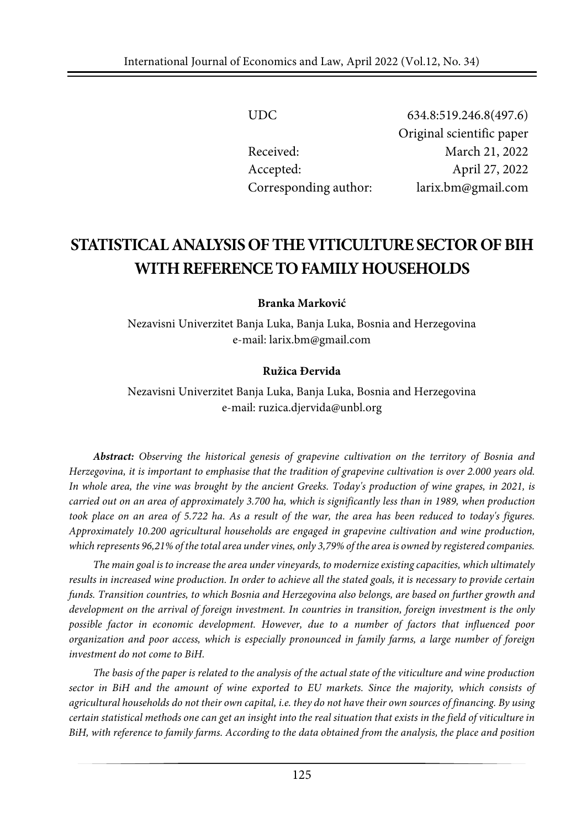| UDC.                  | 634.8:519.246.8(497.6)    |
|-----------------------|---------------------------|
|                       | Original scientific paper |
| Received:             | March 21, 2022            |
| Accepted:             | April 27, 2022            |
| Corresponding author: | larix.bm@gmail.com        |

# **STATISTICALANALYSISOFTHE VITICULTURESECTOROFBIH WITH REFERENCE TO FAMILY HOUSEHOLDS**

**Branka Marković**

Nezavisni Univerzitet Banja Luka, Banja Luka, Bosnia and Herzegovina e-mail: larix.bm@gmail.com

#### **Ružica Đervida**

Nezavisni Univerzitet Banja Luka, Banja Luka, Bosnia and Herzegovina e-mail: [ruzica.djervida@unbl.org](mailto:ruzica.djervida@unbl.org)

*Abstract: Observing the historical genesis of grapevine cultivation on the territory of Bosnia and* Herzegovina, it is important to emphasise that the tradition of grapevine cultivation is over 2.000 years old. In whole area, the vine was brought by the ancient Greeks. Today's production of wine grapes, in 2021, is carried out on an area of approximately 3.700 ha, which is significantly less than in 1989, when production took place on an area of 5.722 ha. As a result of the war, the area has been reduced to today's figures. *Approximately 10.200 agricultural households are engaged in grapevine cultivation and wine production,* which represents 96,21% of the total area under vines, only 3,79% of the area is owned by registered companies.

*The main goal is to increase the area under vineyards, to modernize existing capacities, which ultimately* results in increased wine production. In order to achieve all the stated goals, it is necessary to provide certain *funds. Transition countries, to which Bosnia and Herzegovina also belongs, are based on further growth and development on the arrival of foreign investment. In countries in transition, foreign investment is the only possible factor in economic development. However, due to a number of factors that influenced poor organization and poor access, which is especially pronounced in family farms, a large number of foreign investment do not come to BiH.*

The basis of the paper is related to the analysis of the actual state of the viticulture and wine production *sector in BiH and the amount of wine exported to EU markets. Since the majority, which consists of* agricultural households do not their own capital, i.e. they do not have their own sources of financing. By using certain statistical methods one can get an insight into the real situation that exists in the field of viticulture in BiH, with reference to family farms. According to the data obtained from the analysis, the place and position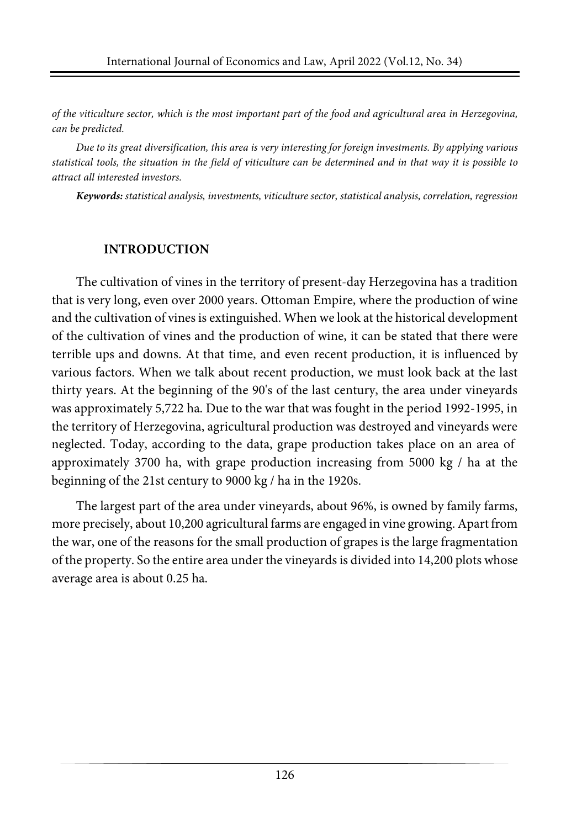of the viticulture sector, which is the most important part of the food and agricultural area in Herzegovina, *can be predicted.*

*Due to its great diversification, this area is very interesting for foreign investments. By applying various* statistical tools, the situation in the field of viticulture can be determined and in that way it is possible to *attract all interested investors.*

*Keywords: statistical analysis, investments, viticulture sector, statistical analysis, correlation, regression*

## **INTRODUCTION**

The cultivation of vines in the territory of present-day Herzegovina has a tradition that is very long, even over 2000 years. Ottoman Empire, where the production of wine and the cultivation of vines is extinguished. When we look at the historical development of the cultivation of vines and the production of wine, it can be stated that there were terrible ups and downs. At that time, and even recent production, it is influenced by various factors. When we talk about recent production, we must look back at the last thirty years. At the beginning of the 90's of the last century, the area under vineyards was approximately 5,722 ha. Due to the war that was fought in the period 1992-1995, in the territory of Herzegovina, agricultural production was destroyed and vineyards were neglected. Today, according to the data, grape production takes place on an area of approximately 3700 ha, with grape production increasing from 5000 kg / ha at the beginning of the 21st century to 9000 kg / ha in the 1920s.

The largest part of the area under vineyards, about 96%, is owned by family farms, more precisely, about 10,200 agricultural farms are engaged in vine growing. Apart from the war, one of the reasons for the small production of grapes is the large fragmentation of the property. So the entire area underthe vineyards is divided into 14,200 plots whose average area is about 0.25 ha.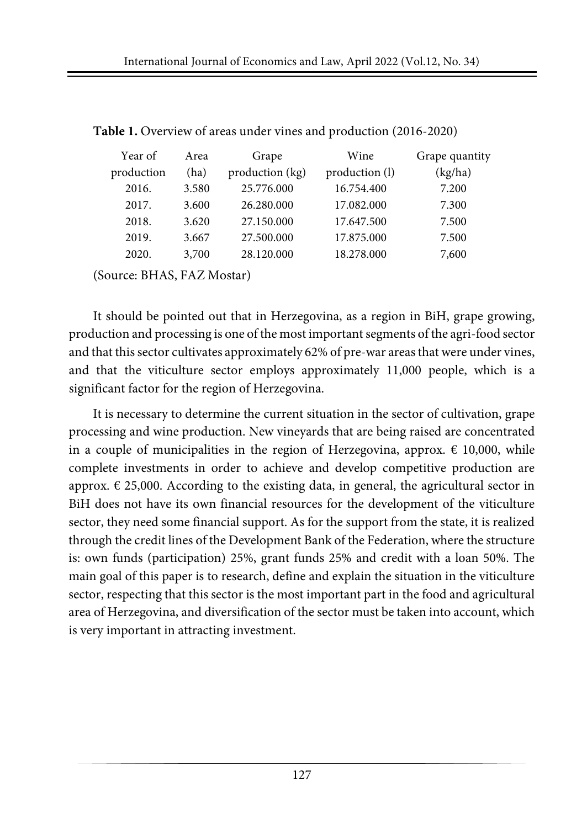| Year of    | Area  | Grape           | Wine           | Grape quantity |
|------------|-------|-----------------|----------------|----------------|
| production | (ha)  | production (kg) | production (l) | (kg/ha)        |
| 2016.      | 3.580 | 25.776.000      | 16.754.400     | 7.200          |
| 2017.      | 3.600 | 26.280.000      | 17.082.000     | 7.300          |
| 2018.      | 3.620 | 27.150.000      | 17.647.500     | 7.500          |
| 2019.      | 3.667 | 27.500.000      | 17.875.000     | 7.500          |
| 2020.      | 3,700 | 28.120.000      | 18.278.000     | 7,600          |
|            |       |                 |                |                |

**Table 1.** Overview of areas under vines and production (2016-2020)

(Source: BHAS, FAZ Mostar)

It should be pointed out that in Herzegovina, as a region in BiH, grape growing, production and processing is one of the most important segments of the agri-food sector and that thissector cultivates approximately 62% of pre-war areasthat were under vines, and that the viticulture sector employs approximately 11,000 people, which is a significant factor for the region of Herzegovina.

It is necessary to determine the current situation in the sector of cultivation, grape processing and wine production. New vineyards that are being raised are concentrated in a couple of municipalities in the region of Herzegovina, approx.  $\epsilon$  10,000, while complete investments in order to achieve and develop competitive production are approx.  $\epsilon$  25,000. According to the existing data, in general, the agricultural sector in BiH does not have its own financial resources for the development of the viticulture sector, they need some financial support. As for the support from the state, it is realized through the credit lines of the Development Bank of the Federation, where the structure is: own funds (participation) 25%, grant funds 25% and credit with a loan 50%. The main goal of this paper is to research, define and explain the situation in the viticulture sector, respecting that this sector is the most important part in the food and agricultural area of Herzegovina, and diversification of the sector must be taken into account, which is very important in attracting investment.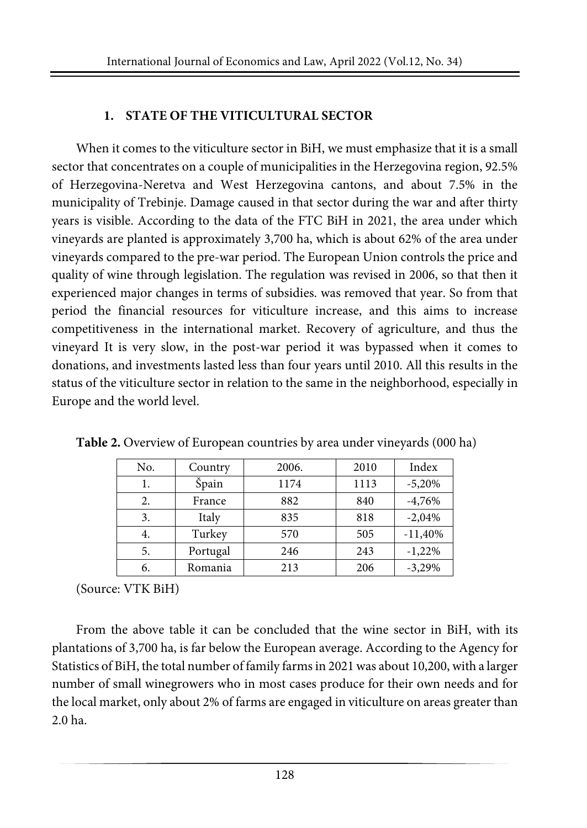# **1. STATE OF THE VITICULTURAL SECTOR**

When it comes to the viticulture sector in BiH, we must emphasize that it is a small sector that concentrates on a couple of municipalities in the Herzegovina region, 92.5% of Herzegovina-Neretva and West Herzegovina cantons, and about 7.5% in the municipality of Trebinje. Damage caused in that sector during the war and after thirty years is visible. According to the data of the FTC BiH in 2021, the area under which vineyards are planted is approximately 3,700 ha, which is about 62% of the area under vineyards compared to the pre-war period. The European Union controls the price and quality of wine through legislation. The regulation was revised in 2006, so that then it experienced major changes in terms of subsidies. was removed that year. So from that period the financial resources for viticulture increase, and this aims to increase competitiveness in the international market. Recovery of agriculture, and thus the vineyard It is very slow, in the post-war period it was bypassed when it comes to donations, and investments lasted less than four years until 2010. All this results in the status of the viticulture sector in relation to the same in the neighborhood, especially in Europe and the world level.

| No. | Country  | 2006. | 2010 | Index     |
|-----|----------|-------|------|-----------|
| 1.  | Špain    | 1174  | 1113 | $-5,20%$  |
| 2.  | France   | 882   | 840  | $-4,76%$  |
| 3.  | Italy    | 835   | 818  | $-2,04%$  |
| 4.  | Turkey   | 570   | 505  | $-11,40%$ |
| 5.  | Portugal | 246   | 243  | $-1,22%$  |
| 6.  | Romania  | 213   | 206  | $-3,29%$  |

**Table 2.** Overview of European countries by area under vineyards (000 ha)

(Source: VTK BiH)

From the above table it can be concluded that the wine sector in BiH, with its plantations of 3,700 ha, is far below the European average. According to the Agency for Statistics of BiH, the total number of family farmsin 2021 was about 10,200, with a larger number of small winegrowers who in most cases produce for their own needs and for the local market, only about 2% of farms are engaged in viticulture on areas greater than 2.0 ha.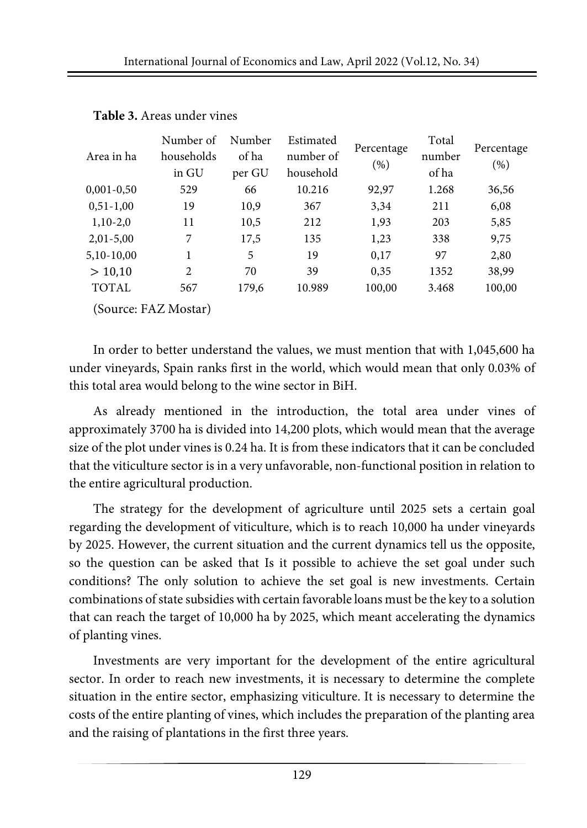|              | Number of      | Number<br>Estimated |           | Percentage | Total  | Percentage |  |
|--------------|----------------|---------------------|-----------|------------|--------|------------|--|
| Area in ha   | households     | of ha               | number of | (%)        | number | $(\%)$     |  |
|              | in GU          | per GU              | household |            | of ha  |            |  |
| $0,001-0,50$ | 529            | 66                  | 10.216    | 92,97      | 1.268  | 36,56      |  |
| $0,51-1,00$  | 19             | 10,9                | 367       | 3,34       | 211    | 6,08       |  |
| $1,10-2,0$   | 11             | 10,5                | 212       | 1,93       | 203    | 5,85       |  |
| $2,01-5,00$  | 7              | 17,5                | 135       | 1,23       | 338    | 9,75       |  |
| 5,10-10,00   |                | 5                   | 19        | 0,17       | 97     | 2,80       |  |
| > 10,10      | $\overline{2}$ | 70                  | 39        | 0,35       | 1352   | 38,99      |  |
| <b>TOTAL</b> | 567            | 179,6               | 10.989    | 100,00     | 3.468  | 100,00     |  |
|              |                |                     |           |            |        |            |  |

#### **Table 3.** Areas under vines

(Source: FAZ Mostar)

In order to better understand the values, we must mention that with 1,045,600 ha under vineyards, Spain ranks first in the world, which would mean that only 0.03% of this total area would belong to the wine sector in BiH.

As already mentioned in the introduction, the total area under vines of approximately 3700 ha is divided into 14,200 plots, which would mean that the average size of the plot under vines is 0.24 ha. It is from these indicators that it can be concluded that the viticulture sector is in a very unfavorable, non-functional position in relation to the entire agricultural production.

The strategy for the development of agriculture until 2025 sets a certain goal regarding the development of viticulture, which is to reach 10,000 ha under vineyards by 2025. However, the current situation and the current dynamics tell us the opposite, so the question can be asked that Is it possible to achieve the set goal under such conditions? The only solution to achieve the set goal is new investments. Certain combinations of state subsidies with certain favorable loans must be the key to a solution that can reach the target of 10,000 ha by 2025, which meant accelerating the dynamics of planting vines.

Investments are very important for the development of the entire agricultural sector. In order to reach new investments, it is necessary to determine the complete situation in the entire sector, emphasizing viticulture. It is necessary to determine the costs of the entire planting of vines, which includes the preparation of the planting area and the raising of plantations in the first three years.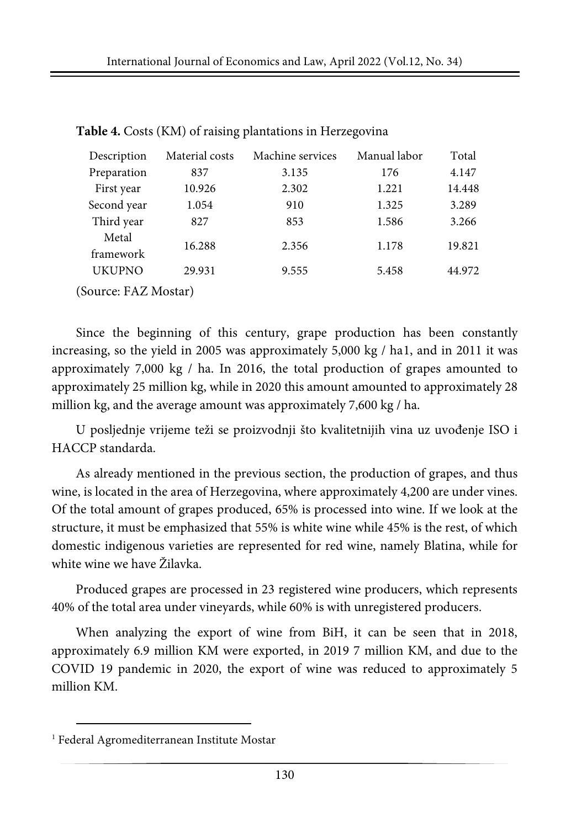| Description          | Material costs | Machine services | Manual labor | Total  |
|----------------------|----------------|------------------|--------------|--------|
| Preparation          | 837            | 3.135            | 176          | 4.147  |
| First year           | 10.926         | 2.302            | 1.221        | 14.448 |
| Second year          | 1.054          | 910              | 1.325        | 3.289  |
| Third year           | 827            | 853              | 1.586        | 3.266  |
| Metal                | 16.288         | 2.356            | 1.178        | 19.821 |
| framework            |                |                  |              |        |
| <b>UKUPNO</b>        | 29.931         | 9.555            | 5.458        | 44.972 |
| (Source: FAZ Mostar) |                |                  |              |        |

**Table 4.** Costs (KM) of raising plantations in Herzegovina

Since the beginning of this century, grape production has been constantly increasing, so the yield in 2005 was approximately 5,000 kg / ha[1,](#page-5-0) and in 2011 it was approximately 7,000 kg / ha. In 2016, the total production of grapes amounted to approximately 25 million kg, while in 2020 this amount amounted to approximately 28 million kg, and the average amount was approximately 7,600 kg / ha.

U posljednje vrijeme teži se proizvodnji što kvalitetnijih vina uz uvođenje ISO i HACCP standarda.

As already mentioned in the previous section, the production of grapes, and thus wine, is located in the area of Herzegovina, where approximately 4,200 are under vines. Of the total amount of grapes produced, 65% is processed into wine. If we look at the structure, it must be emphasized that 55% is white wine while 45% is the rest, of which domestic indigenous varieties are represented for red wine, namely Blatina, while for white wine we have Žilavka.

Produced grapes are processed in 23 registered wine producers, which represents 40% of the total area under vineyards, while 60% is with unregistered producers.

When analyzing the export of wine from BiH, it can be seen that in 2018, approximately 6.9 million KM were exported, in 2019 7 million KM, and due to the COVID 19 pandemic in 2020, the export of wine was reduced to approximately 5 million KM.

<span id="page-5-0"></span><sup>1</sup> Federal Agromediterranean Institute Mostar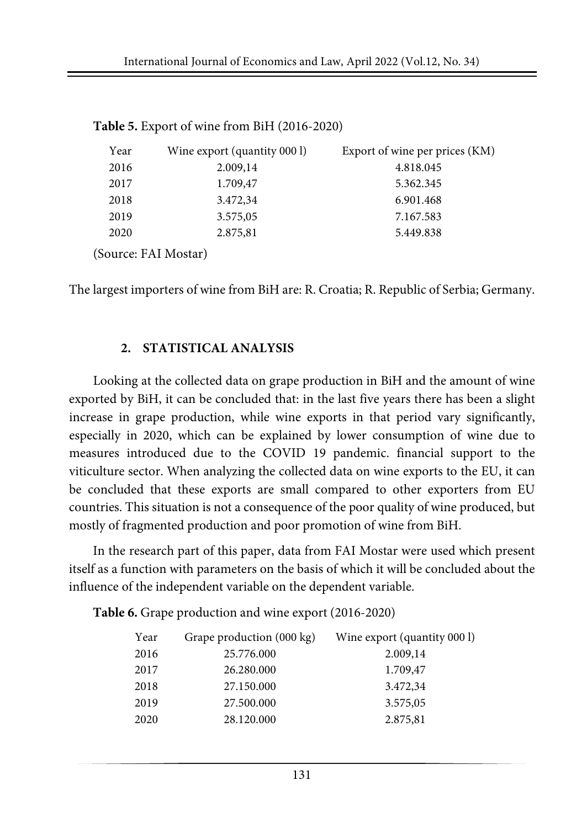| Year                 | Wine export (quantity 000 l) | Export of wine per prices (KM) |
|----------------------|------------------------------|--------------------------------|
| 2016                 | 2.009,14                     | 4.818.045                      |
| 2017                 | 1.709,47                     | 5.362.345                      |
| 2018                 | 3.472,34                     | 6.901.468                      |
| 2019                 | 3.575,05                     | 7.167.583                      |
| 2020                 | 2.875,81                     | 5.449.838                      |
| (Source: FAI Mostar) |                              |                                |

**Table 5.** Export of wine from BiH (2016-2020)

The largest importers of wine from BiH are: R. Croatia; R. Republic of Serbia; Germany.

#### **2. STATISTICAL ANALYSIS**

Looking at the collected data on grape production in BiH and the amount of wine exported by BiH, it can be concluded that: in the last five years there has been a slight increase in grape production, while wine exports in that period vary significantly, especially in 2020, which can be explained by lower consumption of wine due to measures introduced due to the COVID 19 pandemic. financial support to the viticulture sector. When analyzing the collected data on wine exports to the EU, it can be concluded that these exports are small compared to other exporters from EU countries. This situation is not a consequence of the poor quality of wine produced, but mostly of fragmented production and poor promotion of wine from BiH.

In the research part of this paper, data from FAI Mostar were used which present itself as a function with parameters on the basis of which it will be concluded about the influence of the independent variable on the dependent variable.

**Table 6.** Grape production and wine export (2016-2020)

| Year | Grape production (000 kg) | Wine export (quantity 000 l) |
|------|---------------------------|------------------------------|
| 2016 | 25.776.000                | 2.009,14                     |
| 2017 | 26.280.000                | 1.709,47                     |
| 2018 | 27.150.000                | 3.472,34                     |
| 2019 | 27.500.000                | 3.575,05                     |
| 2020 | 28.120.000                | 2.875,81                     |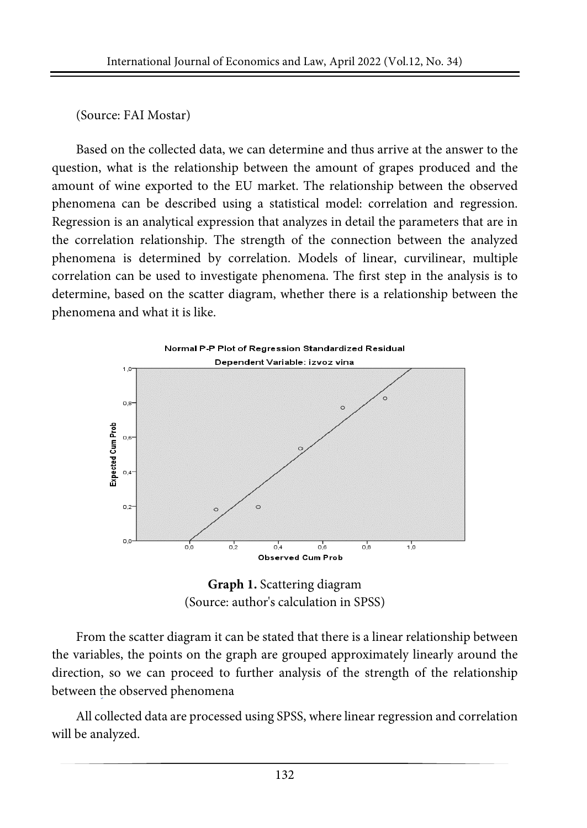### (Source: FAI Mostar)

Based on the collected data, we can determine and thus arrive at the answer to the question, what is the relationship between the amount of grapes produced and the amount of wine exported to the EU market. The relationship between the observed phenomena can be described using a statistical model: correlation and regression. Regression is an analytical expression that analyzes in detail the parameters that are in the correlation relationship. The strength of the connection between the analyzed phenomena is determined by correlation. Models of linear, curvilinear, multiple correlation can be used to investigate phenomena. The first step in the analysis is to determine, based on the scatter diagram, whether there is a relationship between the phenomena and what it is like.



**Graph 1.** Scattering diagram (Source: author's calculation in SPSS)

From the scatter diagram it can be stated that there is a linear relationship between the variables, the points on the graph are grouped approximately linearly around the direction, so we can proceed to further analysis of the strength of the relationship between the observed phenomena

All collected data are processed using SPSS, where linear regression and correlation will be analyzed.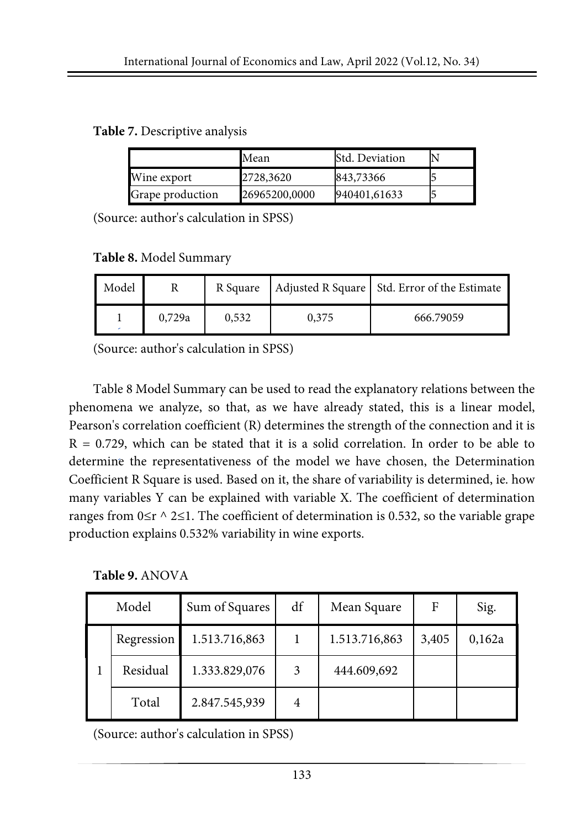**Table 7.** Descriptive analysis

|                         | Mean          | Std. Deviation |  |
|-------------------------|---------------|----------------|--|
| Wine export             | 2728,3620     | 843,73366      |  |
| <b>Grape production</b> | 26965200,0000 | 940401,61633   |  |

(Source: author's calculation in SPSS)

**Table 8.** Model Summary

| Model | R Square        |  |       | Adjusted R Square Std. Error of the Estimate |
|-------|-----------------|--|-------|----------------------------------------------|
| ۰     | 0,729a<br>0,532 |  | 0,375 | 666.79059                                    |

(Source: author's calculation in SPSS)

Table 8 Model Summary can be used to read the explanatory relations between the phenomena we analyze, so that, as we have already stated, this is a linear model, Pearson's correlation coefficient (R) determines the strength of the connection and it is  $R = 0.729$ , which can be stated that it is a solid correlation. In order to be able to determine the representativeness of the model we have chosen, the Determination Coefficient R Square is used. Based on it, the share of variability is determined, ie. how many variables Y can be explained with variable X. The coefficient of determination ranges from  $0 \le r \land 2 \le 1$ . The coefficient of determination is 0.532, so the variable grape production explains 0.532% variability in wine exports.

**Table 9.** ANOVA

| Model |            | Sum of Squares | df | Mean Square   | F     | Sig.   |
|-------|------------|----------------|----|---------------|-------|--------|
|       | Regression | 1.513.716,863  |    | 1.513.716,863 | 3,405 | 0,162a |
|       | Residual   | 1.333.829,076  | 3  | 444.609,692   |       |        |
|       | Total      | 2.847.545,939  | 4  |               |       |        |

(Source: author's calculation in SPSS)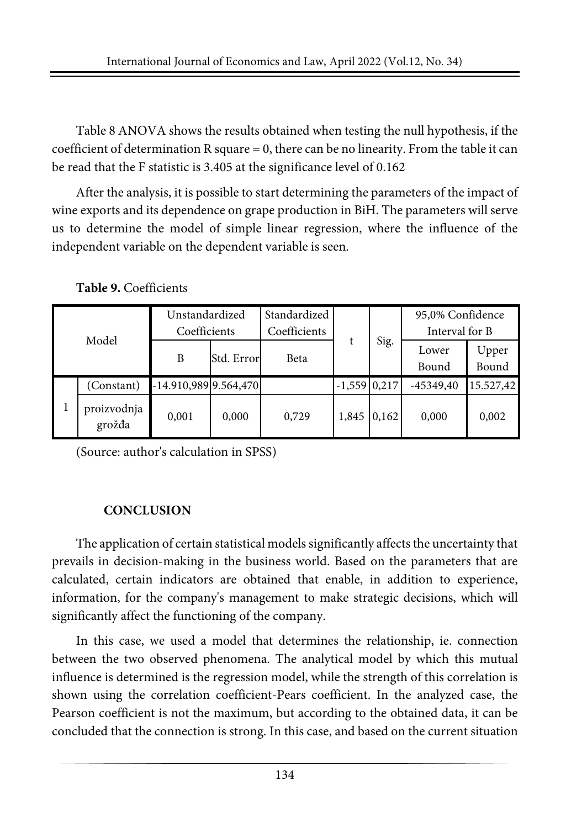Table 8 ANOVA shows the results obtained when testing the null hypothesis, if the coefficient of determination R square = 0, there can be no linearity. From the table it can be read that the F statistic is 3.405 at the significance level of 0.162

After the analysis, it is possible to start determining the parameters of the impact of wine exports and its dependence on grape production in BiH. The parameters will serve us to determine the model of simple linear regression, where the influence of the independent variable on the dependent variable is seen.

|       |                       | Unstandardized<br>Coefficients |            | Standardized |                |       | 95,0% Confidence<br>Interval for B |                |
|-------|-----------------------|--------------------------------|------------|--------------|----------------|-------|------------------------------------|----------------|
|       |                       |                                |            | Coefficients |                |       |                                    |                |
| Model |                       | B                              | Std. Error | Beta         |                | Sig.  | Lower<br>Bound                     | Upper<br>Bound |
|       | (Constant)            | $-14.910,989$ 9.564,470        |            |              | $-1,559$ 0,217 |       | $-45349.40$                        | 15.527,42      |
|       | proizvodnja<br>grožđa | 0.001                          | 0,000      | 0.729        | 1,845          | 0,162 | 0.000                              | 0,002          |

**Table 9.** Coefficients

(Source: author's calculation in SPSS)

# **CONCLUSION**

The application of certain statistical models significantly affects the uncertainty that prevails in decision-making in the business world. Based on the parameters that are calculated, certain indicators are obtained that enable, in addition to experience, information, for the company's management to make strategic decisions, which will significantly affect the functioning of the company.

In this case, we used a model that determines the relationship, ie. connection between the two observed phenomena. The analytical model by which this mutual influence is determined is the regression model, while the strength of this correlation is shown using the correlation coefficient-Pears coefficient. In the analyzed case, the Pearson coefficient is not the maximum, but according to the obtained data, it can be concluded that the connection is strong. In this case, and based on the current situation